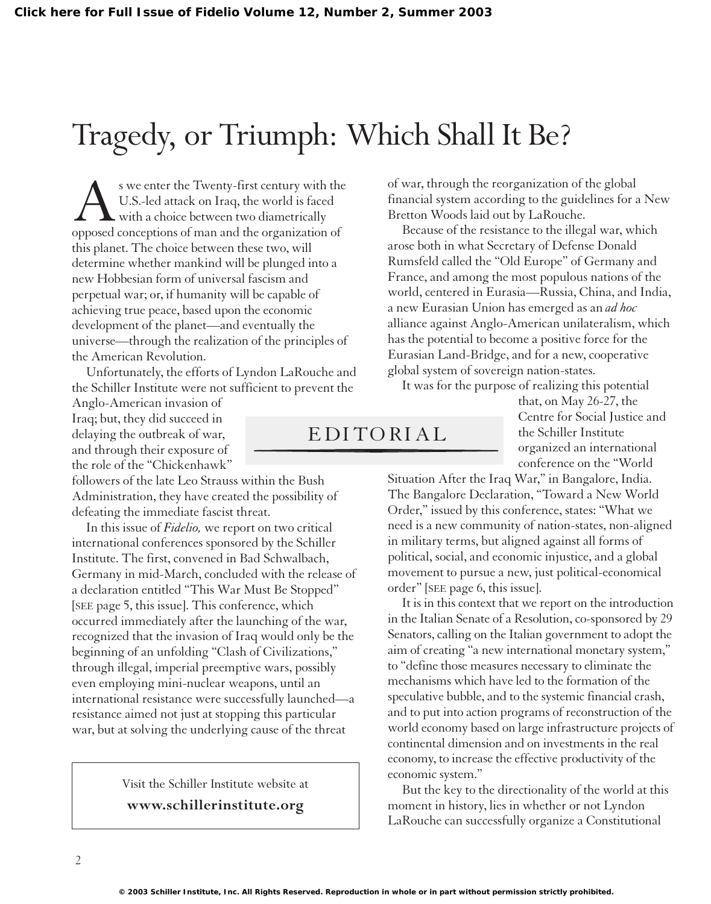## Tragedy, or Triumph: Which Shall It Be?

Solution Wester the Twenty-first century with the U.S.-led attack on Iraq, the world is faced with a choice between two diametrically opposed conceptions of man and the organization of U.S.-led attack on Iraq, the world is faced with a choice between two diametrically this planet. The choice between these two, will determine whether mankind will be plunged into a new Hobbesian form of universal fascism and perpetual war; or, if humanity will be capable of achieving true peace, based upon the economic development of the planet—and eventually the universe—through the realization of the principles of the American Revolution.

Unfortunately, the efforts of Lyndon LaRouche and the Schiller Institute were not sufficient to prevent the

Anglo-American invasion of Iraq; but, they did succeed in delaying the outbreak of war, and through their exposure of the role of the "Chickenhawk"

followers of the late Leo Strauss within the Bush Administration, they have created the possibility of defeating the immediate fascist threat.

In this issue of *Fidelio,* we report on two critical international conferences sponsored by the Schiller Institute. The first, convened in Bad Schwalbach, Germany in mid-March, concluded with the release of a declaration entitled "This War Must Be Stopped" [SEE page 5, this issue]. This conference, which occurred immediately after the launching of the war, recognized that the invasion of Iraq would only be the beginning of an unfolding "Clash of Civilizations," through illegal, imperial preemptive wars, possibly even employing mini-nuclear weapons, until an international resistance were successfully launched—a resistance aimed not just at stopping this particular war, but at solving the underlying cause of the threat

> Visit the Schiller Institute website at **www.schillerinstitute.org**

of war, through the reorganization of the global financial system according to the guidelines for a New Bretton Woods laid out by LaRouche.

Because of the resistance to the illegal war, which arose both in what Secretary of Defense Donald Rumsfeld called the "Old Europe" of Germany and France, and among the most populous nations of the world, centered in Eurasia—Russia, China, and India, a new Eurasian Union has emerged as an *ad hoc* alliance against Anglo-American unilateralism, which has the potential to become a positive force for the Eurasian Land-Bridge, and for a new, cooperative global system of sovereign nation-states.

It was for the purpose of realizing this potential

EDITORIAL

that, on May 26-27, the Centre for Social Justice and the Schiller Institute organized an international conference on the "World

Situation After the Iraq War," in Bangalore, India. The Bangalore Declaration, "Toward a New World Order," issued by this conference, states: "What we need is a new community of nation-states, non-aligned in military terms, but aligned against all forms of political, social, and economic injustice, and a global movement to pursue a new, just political-economical order" [SEE page 6, this issue].

It is in this context that we report on the introduction in the Italian Senate of a Resolution, co-sponsored by 29 Senators, calling on the Italian government to adopt the aim of creating "a new international monetary system," to "define those measures necessary to eliminate the mechanisms which have led to the formation of the speculative bubble, and to the systemic financial crash, and to put into action programs of reconstruction of the world economy based on large infrastructure projects of continental dimension and on investments in the real economy, to increase the effective productivity of the economic system."

But the key to the directionality of the world at this moment in history, lies in whether or not Lyndon LaRouche can successfully organize a Constitutional